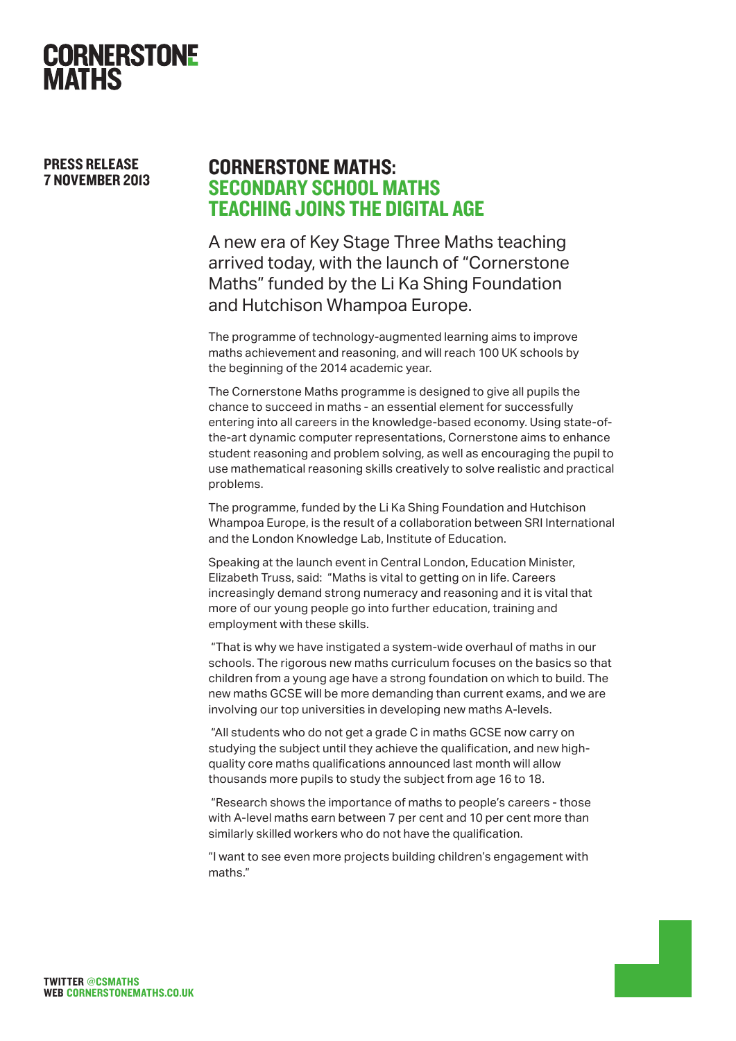

PRESS RELEASE 7 NOVEMBER 2013

## CORNERSTONE MATHS: SECONDARY SCHOOL MATHS TEACHING JOINS THE DIGITAL AGE

A new era of Key Stage Three Maths teaching arrived today, with the launch of "Cornerstone Maths" funded by the Li Ka Shing Foundation and Hutchison Whampoa Europe.

The programme of technology-augmented learning aims to improve maths achievement and reasoning, and will reach 100 UK schools by the beginning of the 2014 academic year.

The Cornerstone Maths programme is designed to give all pupils the chance to succeed in maths - an essential element for successfully entering into all careers in the knowledge-based economy. Using state-ofthe-art dynamic computer representations, Cornerstone aims to enhance student reasoning and problem solving, as well as encouraging the pupil to use mathematical reasoning skills creatively to solve realistic and practical problems.

The programme, funded by the Li Ka Shing Foundation and Hutchison Whampoa Europe, is the result of a collaboration between SRI International and the London Knowledge Lab, Institute of Education.

Speaking at the launch event in Central London, Education Minister, Elizabeth Truss, said: "Maths is vital to getting on in life. Careers increasingly demand strong numeracy and reasoning and it is vital that more of our young people go into further education, training and employment with these skills.

 "That is why we have instigated a system-wide overhaul of maths in our schools. The rigorous new maths curriculum focuses on the basics so that children from a young age have a strong foundation on which to build. The new maths GCSE will be more demanding than current exams, and we are involving our top universities in developing new maths A-levels.

 "All students who do not get a grade C in maths GCSE now carry on studying the subject until they achieve the qualification, and new highquality core maths qualifications announced last month will allow thousands more pupils to study the subject from age 16 to 18.

 "Research shows the importance of maths to people's careers - those with A-level maths earn between 7 per cent and 10 per cent more than similarly skilled workers who do not have the qualification.

"I want to see even more projects building children's engagement with maths."